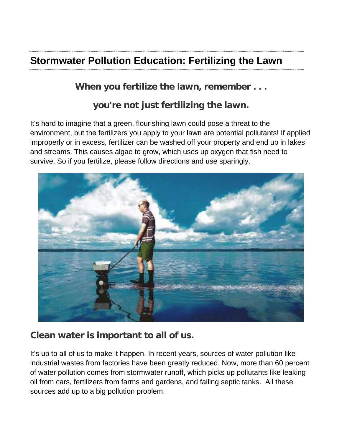## **Stormwater Pollution Education: Fertilizing the Lawn**

## **When you fertilize the lawn, remember . . .**

## **you're not just fertilizing the lawn.**

It's hard to imagine that a green, flourishing lawn could pose a threat to the environment, but the fertilizers you apply to your lawn are potential pollutants! If applied improperly or in excess, fertilizer can be washed off your property and end up in lakes and streams. This causes algae to grow, which uses up oxygen that fish need to survive. So if you fertilize, please follow directions and use sparingly.



## **Clean water is important to all of us.**

It's up to all of us to make it happen. In recent years, sources of water pollution like industrial wastes from factories have been greatly reduced. Now, more than 60 percent of water pollution comes from stormwater runoff, which picks up pollutants like leaking oil from cars, fertilizers from farms and gardens, and failing septic tanks. All these sources add up to a big pollution problem.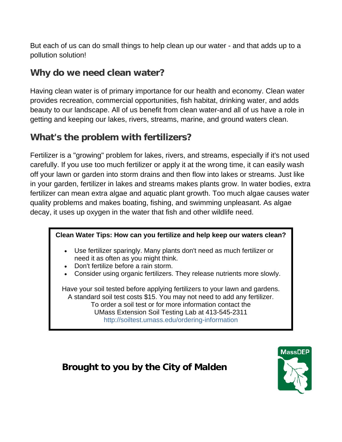But each of us can do small things to help clean up our water - and that adds up to a pollution solution!

## **Why do we need clean water?**

Having clean water is of primary importance for our health and economy. Clean water provides recreation, commercial opportunities, fish habitat, drinking water, and adds beauty to our landscape. All of us benefit from clean water-and all of us have a role in getting and keeping our lakes, rivers, streams, marine, and ground waters clean.

## **What's the problem with fertilizers?**

Fertilizer is a "growing" problem for lakes, rivers, and streams, especially if it's not used carefully. If you use too much fertilizer or apply it at the wrong time, it can easily wash off your lawn or garden into storm drains and then flow into lakes or streams. Just like in your garden, fertilizer in lakes and streams makes plants grow. In water bodies, extra fertilizer can mean extra algae and aquatic plant growth. Too much algae causes water quality problems and makes boating, fishing, and swimming unpleasant. As algae decay, it uses up oxygen in the water that fish and other wildlife need.

#### **Clean Water Tips: How can you fertilize and help keep our waters clean?**

- Use fertilizer sparingly. Many plants don't need as much fertilizer or need it as often as you might think.
- Don't fertilize before a rain storm.
- Consider using organic fertilizers. They release nutrients more slowly.

Have your soil tested before applying fertilizers to your lawn and gardens. A standard soil test costs \$15. You may not need to add any fertilizer. To order a soil test or for more information contact the UMass Extension Soil Testing Lab at 413-545-2311 http://soiltest.umass.edu/ordering-information

# **MassDEP**

## **Brought to you by the City of Malden**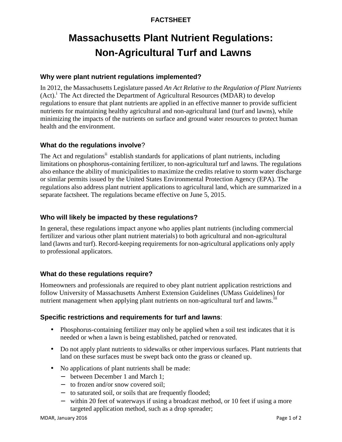#### **FACTSHEET**

## **Massachusetts Plant Nutrient Regulations: Non-Agricultural Turf and Lawns**

#### **Why were plant nutrient regulations implemented?**

In 2012, the Massachusetts Legislature passed *An Act Relative to the Regulation of Plant Nutrients* (Act). <sup>i</sup> The Act directed the Department of Agricultural Resources (MDAR) to develop regulations to ensure that plant nutrients are applied in an effective manner to provide sufficient nutrients for maintaining healthy agricultural and non-agricultural land (turf and lawns), while minimizing the impacts of the nutrients on surface and ground water resources to protect human health and the environment.

#### **What do the regulations involve**?

The Act and regulations<sup>ii</sup> establish standards for applications of plant nutrients, including limitations on phosphorus-containing fertilizer, to non-agricultural turf and lawns. The regulations also enhance the ability of municipalities to maximize the credits relative to storm water discharge or similar permits issued by the United States Environmental Protection Agency (EPA). The regulations also address plant nutrient applications to agricultural land, which are summarized in a separate factsheet. The regulations became effective on June 5, 2015.

#### **Who will likely be impacted by these regulations?**

In general, these regulations impact anyone who applies plant nutrients (including commercial fertilizer and various other plant nutrient materials) to both agricultural and non-agricultural land (lawns and turf). Record-keeping requirements for non-agricultural applications only apply to professional applicators.

#### **What do these regulations require?**

Homeowners and professionals are required to obey plant nutrient application restrictions and follow University of Massachusetts Amherst Extension Guidelines (UMass Guidelines) for nutrient management when applying plant nutrients on non-agricultural turf and lawns.<sup>III</sup>

#### **Specific restrictions and requirements for turf and lawns**:

- Phosphorus-containing fertilizer may only be applied when a soil test indicates that it is needed or when a lawn is being established, patched or renovated.
- Do not apply plant nutrients to sidewalks or other impervious surfaces. Plant nutrients that land on these surfaces must be swept back onto the grass or cleaned up.
- No applications of plant nutrients shall be made:
	- between December 1 and March 1;
	- to frozen and/or snow covered soil:
	- to saturated soil, or soils that are frequently flooded;
	- within 20 feet of waterways if using a broadcast method, or 10 feet if using a more targeted application method, such as a drop spreader;